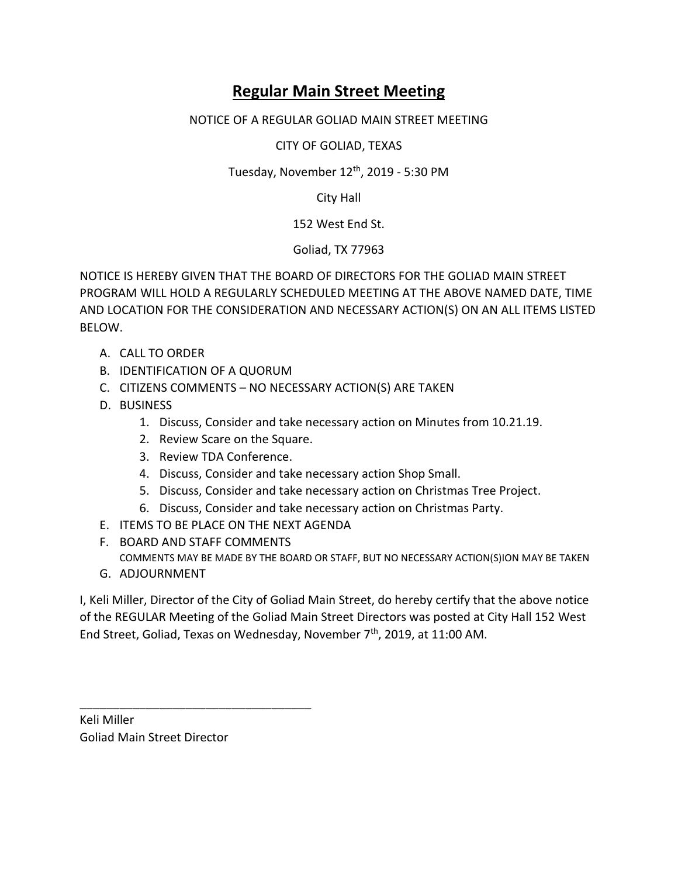## **Regular Main Street Meeting**

NOTICE OF A REGULAR GOLIAD MAIN STREET MEETING

CITY OF GOLIAD, TEXAS

Tuesday, November 12<sup>th</sup>, 2019 - 5:30 PM

City Hall

152 West End St.

Goliad, TX 77963

NOTICE IS HEREBY GIVEN THAT THE BOARD OF DIRECTORS FOR THE GOLIAD MAIN STREET PROGRAM WILL HOLD A REGULARLY SCHEDULED MEETING AT THE ABOVE NAMED DATE, TIME AND LOCATION FOR THE CONSIDERATION AND NECESSARY ACTION(S) ON AN ALL ITEMS LISTED BELOW.

- A. CALL TO ORDER
- B. IDENTIFICATION OF A QUORUM
- C. CITIZENS COMMENTS NO NECESSARY ACTION(S) ARE TAKEN
- D. BUSINESS
	- 1. Discuss, Consider and take necessary action on Minutes from 10.21.19.
	- 2. Review Scare on the Square.
	- 3. Review TDA Conference.
	- 4. Discuss, Consider and take necessary action Shop Small.
	- 5. Discuss, Consider and take necessary action on Christmas Tree Project.
	- 6. Discuss, Consider and take necessary action on Christmas Party.
- E. ITEMS TO BE PLACE ON THE NEXT AGENDA
- F. BOARD AND STAFF COMMENTS COMMENTS MAY BE MADE BY THE BOARD OR STAFF, BUT NO NECESSARY ACTION(S)ION MAY BE TAKEN
- G. ADJOURNMENT

I, Keli Miller, Director of the City of Goliad Main Street, do hereby certify that the above notice of the REGULAR Meeting of the Goliad Main Street Directors was posted at City Hall 152 West End Street, Goliad, Texas on Wednesday, November 7<sup>th</sup>, 2019, at 11:00 AM.

Keli Miller Goliad Main Street Director

\_\_\_\_\_\_\_\_\_\_\_\_\_\_\_\_\_\_\_\_\_\_\_\_\_\_\_\_\_\_\_\_\_\_\_